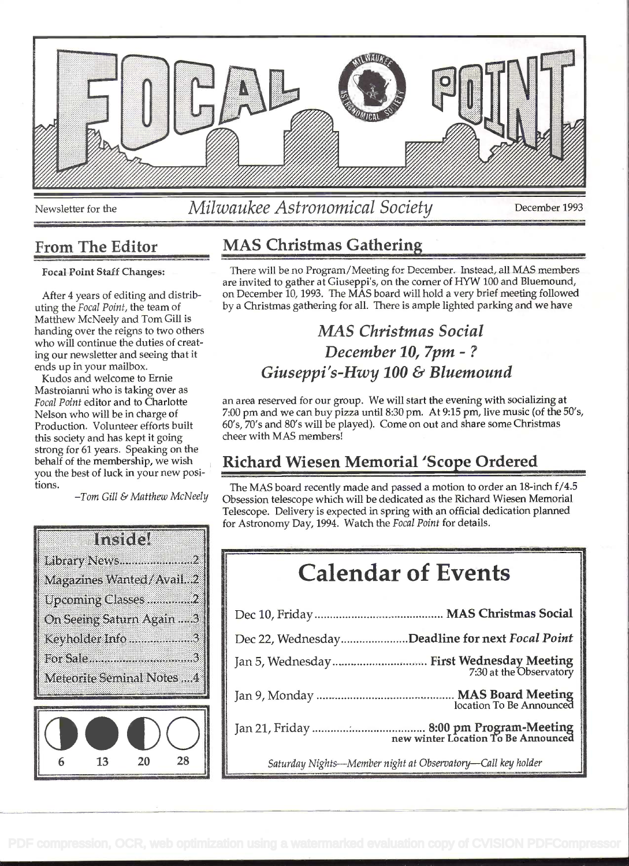

Newsletter for the Milwaukee Astronomical Society December 1993

Focal Point Staff Changes:

After 4 years of editing and distributing the Focal Point, the team of Matthew McNeely and Tom Gill is handing over the reigns to two others who will continue the duties of creating our newsletter and seeing that it ends up in your mailbox.

Kudos and welcome to Ernie Mastroianni who is taking over as Focal Point editor and to Charlotte Nelson who will be in charge of Production. Volunteer efforts built this society and has kept it going strong for 61 years. Speaking on the behalf of the membership, we wish you the best of luck in your new positions.

Tom Gill & Matthew McNeely



## From The Editor MAS Christmas Gathering

There will be no Program/Meeting for December. Instead, ali MAS members are invited to gather at Giuseppi's, on the comer of HYW 100 and Bluemound, on December 10, 1993. The MAS board will hold a very brief meefing followed by a Christmas gathering for all. There is ample lighted parking and we have

## MAS Christmas Social December 10, 7pm -? Giuseppi's-Hwy  $100 \& B$ luemound

an area reserved for our group. We will start the evening with socializing at 7:00 pm and we can buy pizza until 8:30 pm. At 9:15 pm, live music (of the 50's, 60's, 70's and 80's will be played). Come on out and share some Christmas cheer with MAS members!

## Richard Wiesen Memorial 'Scope Ordered

The MAS board recently made and passed a motion to order an 18-inch f/4.5 Obsession telescope which will be dedicated as the Richard Wiesen Memorial Telescope. Delivery is expected in spring with an official dedication planned for Astronomy Day, 1994. Watch the Focal Point for details.

## Calendar of Events

| is all all resultation in the control of the control of a<br>On Seeing Saturn Again 3 |                                                               |  |
|---------------------------------------------------------------------------------------|---------------------------------------------------------------|--|
| Keyholder Info 3                                                                      | Dec 22, WednesdayDeadline for next Focal Point                |  |
| For Sale3<br>Meteorite Seminal Notes 4                                                |                                                               |  |
|                                                                                       | location To Be Announced                                      |  |
|                                                                                       |                                                               |  |
|                                                                                       | Columbus Mights Mountain wishes of Charmatomy Coll bay baldan |  |

Saturday Nights-Member night at Observatory-Call key holder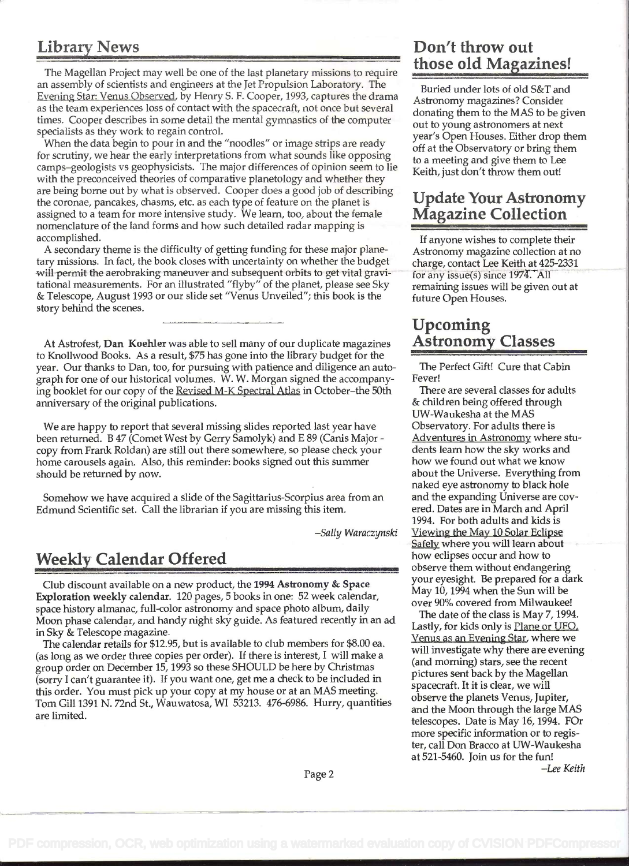The Magellan Project may well be one of the last planetary missions to require an assembly of scientists and engineers at the Jet Propulsion Laboratory. The Buried under lots of old S&T and Evening Star: Venus Observed, by Henry S. F. Cooper, 1993, captures the drama Astronomy magazines? Consider as the team experiences loss of contact with the spacecraft, not once but several<br>times. Cooper describes in some detail the mental gymnastics of the computer<br>specialists as they work to regain control.<br>year's Open Houses.

becialists as they work to regain control.<br>When the data begin to pour in and the "noodles" or image strips are ready off at the Observatory or bring them<br>experiences be a subsidiary them when the position of the Observato When the data begin to pour in and the Thoodies Tof Image strips are ready<br>for scrutiny, we hear the early interpretations from what sounds like opposing<br>camps–geologists vs geophysicists. The major differences of opinion are being borne out by what is observed. Cooper does a good job of describing Update Your Astronomy the coronae, pancakes, chasms, etc. as each type of feature on the planet is **Update Your Astronomy** assigned to a team for more intensive study. We learn, too, about the female **Magazine Collection** assigned to a team for more intensive study. We learn, too, about the female nomenclature of the land forms and how such detailed radar mapping is accomplished. If anyone wishes to complete their

A secondary theme is the difficulty of getting funding for these major plane-<br>Astronomy magazine collection at no tary missions. In fact, the book closes with uncertainty on whether the budget charge, contact Lee Keith at 425-2331 will permit the aerobraking maneuver and subsequent orbits to get vital gravi- for any issue(s) since 1974. All tational measurements. For an illustrated "flyby" of the planet, please see Sky remaining issues will be given out at & Telescope, August 1993 or our slide set "Venus Unveiled"; this book is the future Open Houses. story behind the scenes.

At Astrofest, Dan Koehler was able to sell many of our duplicate magazines to Knollwood Books. As a result, \$75 has gone into the library budget for the year. Our thanks to Dan, too, for pursuing with patience and diligence an auto-<br>graph for one of our historical volumes. W. W. Morgan signed the accompany-<br>Fever! graph for one of our historical volumes. W. W. Morgan signed the accompany-<br>ing booklet for our copy of the Revised M-K Spectral Atlas in October–the 50th There are several classes for adults ing booklet for our copy of the Revised M-K Spectral Atlas in October-the 50th There are several classes for adu<br>anniversary of the original publications.<br>**Example 19** anniversary of the original publications. anniversary of the original publications.

We are happy to report that several missing slides reported last year have Observatory. For adults there is been returned. B 47 (Comet West by Gerry Samolyk) and E 89 (Canis Major - Andventures in Astronomy where stu-<br>
copy from Frank Roldan) are still out there somewhere, so please check your dents learn how the sky works and copy from Frank Roldan) are still out there somewhere, so please check your home carousels again. Also, this reminder: books signed out this summer how we found out what we know should be returned by now. The state of the Universe. Everything from the Universe. Everything from

Somehow we have acquired a slide of the Sagittarius-Scorpius area from an and the expanding Universe are cov-<br>dmund Scientific set. Call the librarian if you are missing this item. ered. Dates are in March and April Edmund Scientific set. Call the librarian if you are missing this item.

Club discount available on a new product, the 1994 Astronomy & Space your eyesight. Be prepared for a dark club<br>May 10, 1994 when the Sun will be Exploration weekly calendar. 120 pages, 5 books in one: 52 week calendar, will be over 90% covered from Milwaukee!<br>space history almanac, full-color astronomy and space photo album, daily over 90% covered from Milwaukee! Space ristory annuality, tan-color astronomy and space photo about, dany<br>Moon phase calendar, and handy night sky guide. As featured recently in an ad<br>in Sky & Telescope magazine.

The calendar retails for \$12.95, but is available to club members for \$8.00 ea. (as long as we order three copies per order). If there is interest, I will make a group order on December 15, 1993 so these SHOULD be here by Christmas group of the Magellan<br>
(sorry I can't guarantee it). If you want one, get me a check to be included in<br>
this order. You must pick up your copy at my house or at an MAS meeting.<br>
Tom Gill 1391 N. 72nd St., Wauwatosa, WI 532

# Library News Don't throw out<br>The Magazines!

## **Upcoming<br>Astronomy Classes**

UW-Waukesha at the MAS naked eye astronomy to black hole 1994. For both adults and kids is -Sally Waraczynski Viewing the May 10 Solar Eclipse Safely where you will learn about Weekly Calendar Offered how eclipses occur and how to observe them without endangering<br>Club discount available on a now product, the 1994 Astronomy & Space your eyesight. Be prepared for a dark

Venus as an Evening Star. where we will investigate why there are evening (and morning) stars, see the recent telescopes. Date is May  $16$ , 1994. FOr more specific information or to register, call Don Bracco at UW-Waukesha at 521-5460. Join us for the fun! Page 2 - Lee Keith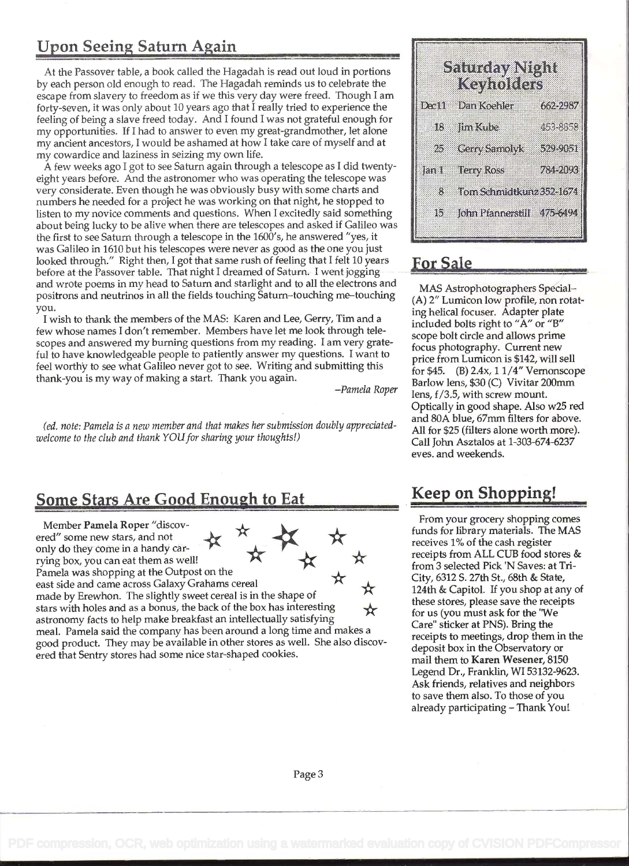## Upon Seeing Saturn Again

At the Passover table, a book called the Hagadah is read out loud in portions by each person old enough to read. The Hagadah reminds us to celebrate the escape from slavery to freedom as if we this very day were freed. Though I am forty-seven, it was only about 10 years ago that I really tried to experience the feeling of being a slave freed today. And I found I was not grateful enough for my opportunities. If J had to answer to even my great-grandmother, let alone my ancient ancestors, I would be ashamed at how I take care of myself and at my cowardice and laziness in seizing my own life.

A few weeks ago I got to see Saturn again through a telescope as I did twentyeight years before. And the astronomer who was operating the telescope was very considerate. Even though he was obviously busy with some charts and numbers he needed for a project he was working on that night, he stopped to listen to my novice comments and questions. When I excitedly said something about being lucky to be alive when there are telescopes and asked if Galileo was the first to see Saturn through a telescope in the 1600's, he answered "yes, it was Galileo in 1610 but his telescopes were never as good as the one you just looked through." Right then, I got that same rush of feeling that I felt 10 years before at the Passover table. That night I dreamed of Saturn. I went jogging and wrote poems in my head to Saturn and starlight and to all the electrons and positrons and neutrinos in all the fields touching Saturn-touching me-touching you.

I wish to thank the members of the MAS: Karen and Lee, Gerry, Tim and a few whose names I don't remember. Members have let me look through telescopes and answered my burning questions from my reading. I am very grateful to have knowledgeable people to patiently answer my questions. I want to feel worthy to see what Galileo never got to see. Writing and submitting this thank-you is my way of making a start. Thank you again.

-Pamela Roper

(ed. note: Pamela is a new member and that makes her submission doubly appreciatedwelcome to the club and thank YOU for sharing your thoughts!)

## Some Stars Are Good Enough to Eat Keep on Shopping!

Member Pamela Roper "discovered" some new stars, and not only do they come in a handy carrying box, you can eat them as well! Pamela was shopping at the Outpost on the east side and came across Galaxy Grahams cereal made by Erewhon. The slightly sweet cereal is in the shape of stars with holes and as a bonus, the back of the box has interesting astronomy facts to help make breakfast an intellectually satisfying meal. Pamela said the company has been around a long time and makes a good product. They may be available in other stores as well. She also discovered that Sentry stores had some nice star-shaped cookies.

|             | Simawan<br>Kaziotea        |           |
|-------------|----------------------------|-----------|
| <b>Dewa</b> | Dina Koonlar               | 65929891  |
| 18          | lini Kulo                  | 453-8558  |
| 25          | <b>CarySimoly</b>          | المالكلات |
| Jan 1       | ate aya tass               | 78393898  |
| 8           | Tom Schmidtkunz 352-1674   |           |
| 15          | John Pfannerstill 475-6494 |           |
|             |                            |           |

### For Sale

MAS Astrophotographers Special- (A) 2" Lumicon low profile, non rotating helical focuser. Adapter plate included bolts right to "A" or "B" scope bolt circle and allows prime focus photography. Current new price from Lumicon is \$142, will sell for \$45. (B) 2.4x, 1 1/4" Vernonscope Barlow lens, \$30 (C) Vivitar 200mm lens, f/3.5, with screw mount. Optically in good shape. Also w25 red and 80A blue, 67mm filters for above. All for \$25 (filters alone worth more). Call John Asztalos at 1-303-674-6237 eves. and weekends.

From your grocery shopping comes funds for library materials. The MAS receives 1% of the cash register receipts from ALL CUB food stores & from 3 selected Pick 'N Saves: at Tri-City, 6312 S. 27th St., 68th & State, 124th & Capitol. If you shop at any of these stores, please save the receipts for us (you must ask for the 'We Care" sticker at PNS). Bring the receipts to meetings, drop them in the deposit box in the Observatory or mail them to Karen Wesener, 8150 Legend Dr., Franklin, WI 53132-9623. Ask friends, relatives and neighbors to save them also. To those of you already participating - Thank You!